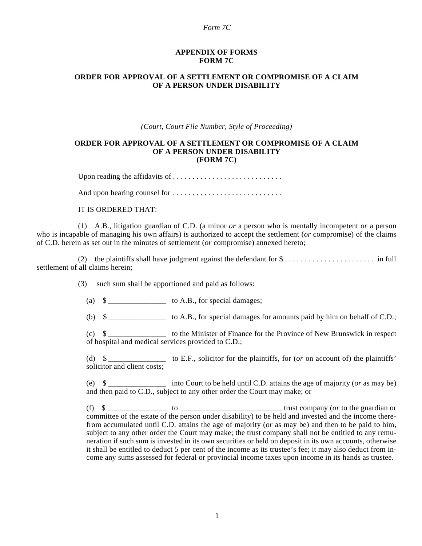### *Form 7C*

### **APPENDIX OF FORMS FORM 7C**

# **ORDER FOR APPROVAL OF A SETTLEMENT OR COMPROMISE OF A CLAIM OF A PERSON UNDER DISABILITY**

*(Court, Court File Number, Style of Proceeding)*

### **ORDER FOR APPROVAL OF A SETTLEMENT OR COMPROMISE OF A CLAIM OF A PERSON UNDER DISABILITY (FORM 7C)**

Upon reading the affidavits of . . . . . . . . . . . . . . . . . . . . . . . . . . . .

And upon hearing counsel for . . . . . . . . . . . . . . . . . . . . . . . . . . . .

## IT IS ORDERED THAT:

(1) A.B., litigation guardian of C.D. (a minor *or* a person who is mentally incompetent *or* a person who is incapable of managing his own affairs) is authorized to accept the settlement (*or* compromise) of the claims of C.D. herein as set out in the minutes of settlement (*or* compromise) annexed hereto;

(2) the plaintiffs shall have judgment against the defendant for \$ . . . . . . . . . . . . . . . . . . . . . . . in full settlement of all claims herein;

(3) such sum shall be apportioned and paid as follows:

(a) \$ \_\_\_\_\_\_\_\_\_\_\_\_\_\_\_ to A.B., for special damages;

(b)  $\$\$ to A.B., for special damages for amounts paid by him on behalf of C.D.;

(c) \$ \_\_\_\_\_\_\_\_\_\_\_\_\_\_\_ to the Minister of Finance for the Province of New Brunswick in respect of hospital and medical services provided to C.D.;

(d) \$ \_\_\_\_\_\_\_\_\_\_\_\_\_\_\_ to E.F., solicitor for the plaintiffs, for (*or* on account of) the plaintiffs' solicitor and client costs;

(e) \$ \_\_\_\_\_\_\_\_\_\_\_\_\_\_\_ into Court to be held until C.D. attains the age of majority (*or* as may be) and then paid to C.D., subject to any other order the Court may make; or

(f) \$ \_\_\_\_\_\_\_\_\_\_\_\_\_\_\_ to \_\_\_\_\_\_\_\_\_\_\_\_\_\_\_\_\_\_\_\_\_\_\_\_\_\_ trust company (*or* to the guardian or committee of the estate of the person under disability) to be held and invested and the income therefrom accumulated until C.D. attains the age of majority (*or* as may be) and then to be paid to him, subject to any other order the Court may make; the trust company shall not be entitled to any remuneration if such sum is invested in its own securities or held on deposit in its own accounts, otherwise it shall be entitled to deduct 5 per cent of the income as its trustee's fee; it may also deduct from income any sums assessed for federal or provincial income taxes upon income in its hands as trustee.